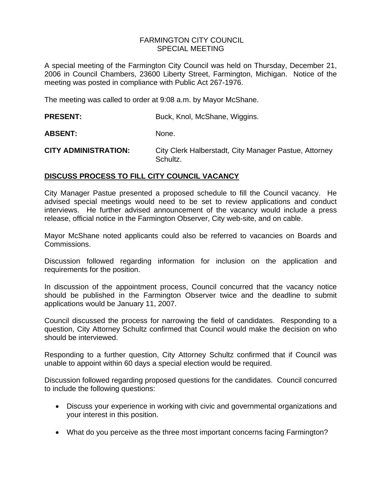### FARMINGTON CITY COUNCIL SPECIAL MEETING

A special meeting of the Farmington City Council was held on Thursday, December 21, 2006 in Council Chambers, 23600 Liberty Street, Farmington, Michigan. Notice of the meeting was posted in compliance with Public Act 267-1976.

The meeting was called to order at 9:08 a.m. by Mayor McShane.

# **PRESENT:** Buck, Knol, McShane, Wiggins.

ABSENT: None.

**CITY ADMINISTRATION:** City Clerk Halberstadt, City Manager Pastue, Attorney Schultz.

# **DISCUSS PROCESS TO FILL CITY COUNCIL VACANCY**

City Manager Pastue presented a proposed schedule to fill the Council vacancy. He advised special meetings would need to be set to review applications and conduct interviews. He further advised announcement of the vacancy would include a press release, official notice in the Farmington Observer, City web-site, and on cable.

Mayor McShane noted applicants could also be referred to vacancies on Boards and Commissions.

Discussion followed regarding information for inclusion on the application and requirements for the position.

In discussion of the appointment process, Council concurred that the vacancy notice should be published in the Farmington Observer twice and the deadline to submit applications would be January 11, 2007.

Council discussed the process for narrowing the field of candidates. Responding to a question, City Attorney Schultz confirmed that Council would make the decision on who should be interviewed.

Responding to a further question, City Attorney Schultz confirmed that if Council was unable to appoint within 60 days a special election would be required.

Discussion followed regarding proposed questions for the candidates. Council concurred to include the following questions:

- Discuss your experience in working with civic and governmental organizations and your interest in this position.
- What do you perceive as the three most important concerns facing Farmington?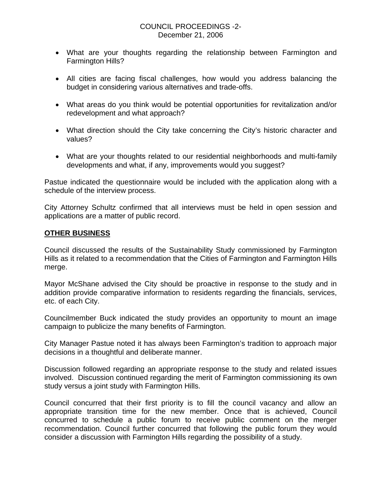- What are your thoughts regarding the relationship between Farmington and Farmington Hills?
- All cities are facing fiscal challenges, how would you address balancing the budget in considering various alternatives and trade-offs.
- What areas do you think would be potential opportunities for revitalization and/or redevelopment and what approach?
- What direction should the City take concerning the City's historic character and values?
- What are your thoughts related to our residential neighborhoods and multi-family developments and what, if any, improvements would you suggest?

Pastue indicated the questionnaire would be included with the application along with a schedule of the interview process.

City Attorney Schultz confirmed that all interviews must be held in open session and applications are a matter of public record.

## **OTHER BUSINESS**

Council discussed the results of the Sustainability Study commissioned by Farmington Hills as it related to a recommendation that the Cities of Farmington and Farmington Hills merge.

Mayor McShane advised the City should be proactive in response to the study and in addition provide comparative information to residents regarding the financials, services, etc. of each City.

Councilmember Buck indicated the study provides an opportunity to mount an image campaign to publicize the many benefits of Farmington.

City Manager Pastue noted it has always been Farmington's tradition to approach major decisions in a thoughtful and deliberate manner.

Discussion followed regarding an appropriate response to the study and related issues involved. Discussion continued regarding the merit of Farmington commissioning its own study versus a joint study with Farmington Hills.

Council concurred that their first priority is to fill the council vacancy and allow an appropriate transition time for the new member. Once that is achieved, Council concurred to schedule a public forum to receive public comment on the merger recommendation. Council further concurred that following the public forum they would consider a discussion with Farmington Hills regarding the possibility of a study.